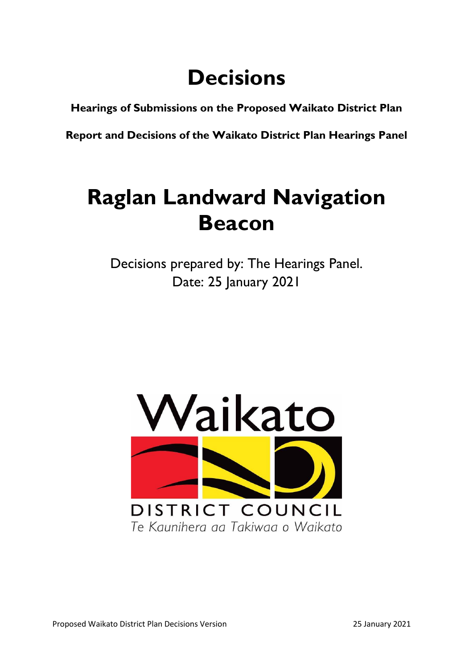# **Decisions**

**Hearings of Submissions on the Proposed Waikato District Plan**

**Report and Decisions of the Waikato District Plan Hearings Panel**

## **Raglan Landward Navigation Beacon**

Decisions prepared by: The Hearings Panel. Date: 25 January 2021

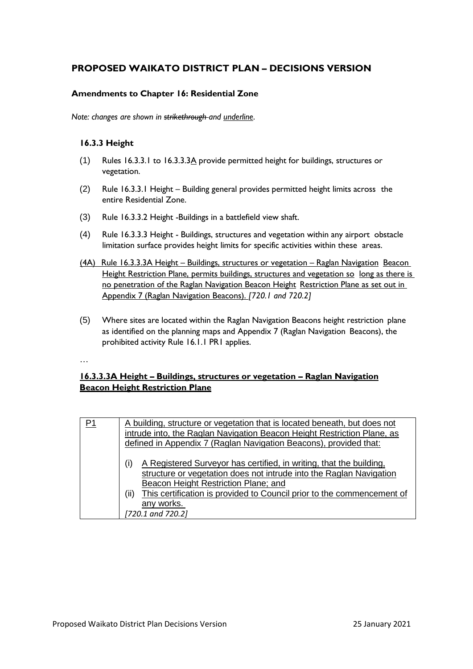### **PROPOSED WAIKATO DISTRICT PLAN – DECISIONS VERSION**

#### **Amendments to Chapter 16: Residential Zone**

*Note: changes are shown in strikethrough and underline*.

#### **16.3.3 Height**

- (1) Rules 16.3.3.1 to 16.3.3.3A provide permitted height for buildings, structures or vegetation.
- (2) Rule 16.3.3.1 Height Building general provides permitted height limits across the entire Residential Zone.
- (3) Rule 16.3.3.2 Height -Buildings in a battlefield view shaft.
- (4) Rule 16.3.3.3 Height Buildings, structures and vegetation within any airport obstacle limitation surface provides height limits for specific activities within these areas.
- (4A) Rule 16.3.3.3A Height Buildings, structures or vegetation Raglan Navigation Beacon Height Restriction Plane, permits buildings, structures and vegetation so long as there is no penetration of the Raglan Navigation Beacon Height Restriction Plane as set out in Appendix 7 (Raglan Navigation Beacons). *[720.1 and 720.2]*
- (5) Where sites are located within the Raglan Navigation Beacons height restriction plane as identified on the planning maps and Appendix 7 (Raglan Navigation Beacons), the prohibited activity Rule 16.1.1 PR1 applies.

…

### **16.3.3.3A Height – Buildings, structures or vegetation – Raglan Navigation Beacon Height Restriction Plane**

| P1 | A building, structure or vegetation that is located beneath, but does not      |
|----|--------------------------------------------------------------------------------|
|    | intrude into, the Raglan Navigation Beacon Height Restriction Plane, as        |
|    | defined in Appendix 7 (Raglan Navigation Beacons), provided that:              |
|    |                                                                                |
|    | A Registered Surveyor has certified, in writing, that the building,<br>(i)     |
|    | structure or vegetation does not intrude into the Raglan Navigation            |
|    | Beacon Height Restriction Plane; and                                           |
|    | This certification is provided to Council prior to the commencement of<br>(ii) |
|    | any works.                                                                     |
|    | [720.1 and 720.2]                                                              |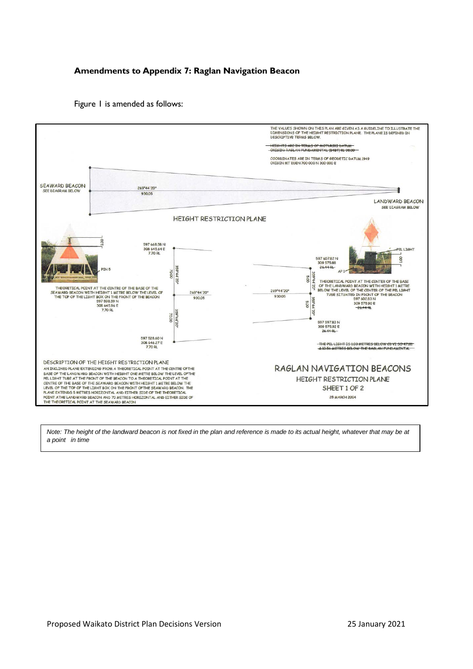#### **Amendments to Appendix 7: Raglan Navigation Beacon**

Figure 1 is amended as follows:



Note: The height of the landward beacon is not fixed in the plan and reference is made to its actual height, whatever that may be at *a point in time*